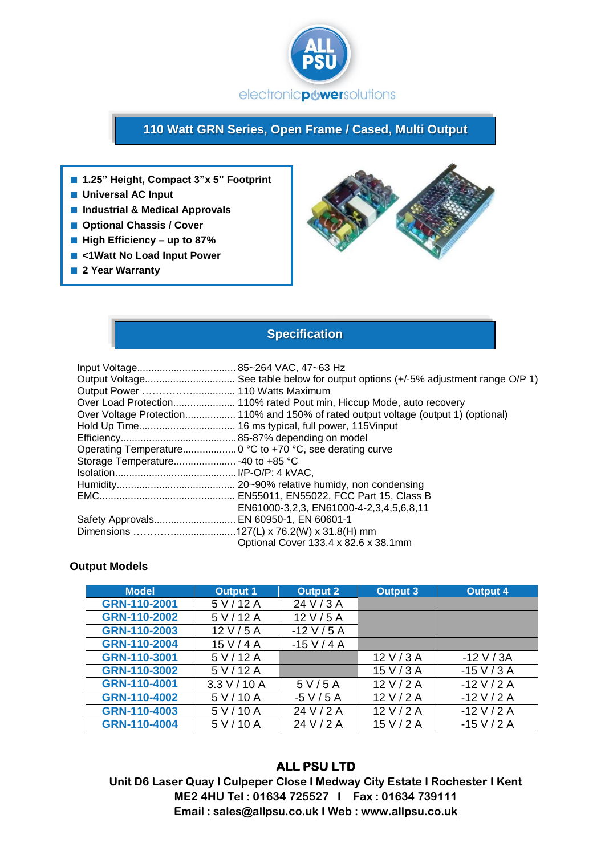

# **110 Watt GRN Series, Open Frame / Cased, Multi Output**

- **1.25" Height, Compact 3"x 5" Footprint**
- **Universal AC Input**
- **Industrial & Medical Approvals**
- **Optional Chassis / Cover**
- **High Efficiency up to 87%**
- <1Watt **No Load Input Power**
- 2 Year Warranty



## **Specification**

|                                         | Output Voltage See table below for output options (+/-5% adjustment range O/P 1)    |
|-----------------------------------------|-------------------------------------------------------------------------------------|
|                                         |                                                                                     |
|                                         | Over Load Protection 110% rated Pout min, Hiccup Mode, auto recovery                |
|                                         | Over Voltage Protection 110% and 150% of rated output voltage (output 1) (optional) |
|                                         |                                                                                     |
|                                         |                                                                                     |
|                                         |                                                                                     |
|                                         |                                                                                     |
|                                         |                                                                                     |
|                                         |                                                                                     |
|                                         |                                                                                     |
|                                         | EN61000-3,2,3, EN61000-4-2,3,4,5,6,8,11                                             |
| Safety Approvals EN 60950-1, EN 60601-1 |                                                                                     |
|                                         |                                                                                     |
|                                         | Optional Cover 133.4 x 82.6 x 38.1mm                                                |

#### **Output Models**

| <b>Model</b> | <b>Output 1</b> | <b>Output 2</b> | <b>Output 3</b> | <b>Output 4</b> |
|--------------|-----------------|-----------------|-----------------|-----------------|
| GRN-110-2001 | 5 V/12 A        | 24 V / 3 A      |                 |                 |
| GRN-110-2002 | 5 V/12 A        | 12 V/5 A        |                 |                 |
| GRN-110-2003 | 12 V/5 A        | $-12$ V / 5 A   |                 |                 |
| GRN-110-2004 | 15 V/4 A        | $-15$ V / 4 A   |                 |                 |
| GRN-110-3001 | 5 V/12 A        |                 | 12 V/3 A        | $-12$ V / 3A    |
| GRN-110-3002 | 5 V/12 A        |                 | 15 V/3 A        | $-15$ V / 3 A   |
| GRN-110-4001 | 3.3 V / 10 A    | 5 V / 5 A       | 12 V/2 A        | $-12$ V / 2 A   |
| GRN-110-4002 | 5 V/10 A        | $-5$ V / 5 A    | 12 V/2 A        | $-12$ V / 2 A   |
| GRN-110-4003 | 5 V/10 A        | 24 V / 2 A      | 12 V/2 A        | $-12$ V / 2 A   |
| GRN-110-4004 | 5 V/10 A        | 24 V / 2 A      | 15 V/2 A        | $-15$ V / 2 A   |

## **ALL PSU LTD**

**Unit D6 Laser Quay I Culpeper Close I Medway City Estate I Rochester I Kent ME2 4HU Tel : 01634 725527 I Fax : 01634 739111 Email [: sales@allpsu.co.uk](mailto:sales@allpsu.co.uk) I Web : www.allpsu.co.uk**